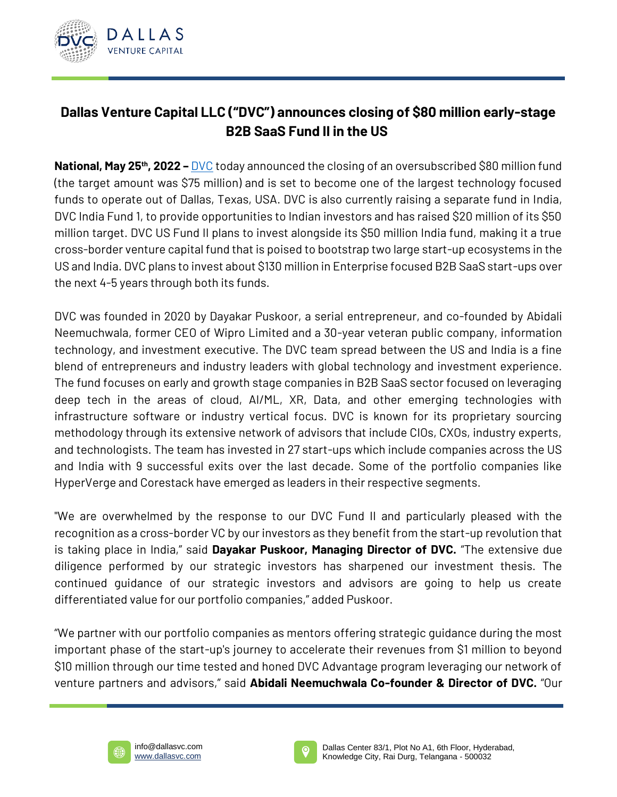

## **Dallas Venture Capital LLC ("DVC") announces closing of \$80 million early-stage B2B SaaS Fund II in the US**

**National, May 25th, 2022 –** [DVC](https://dallasvc.com/) today announced the closing of an oversubscribed \$80 million fund (the target amount was \$75 million) and is set to become one of the largest technology focused funds to operate out of Dallas, Texas, USA. DVC is also currently raising a separate fund in India, DVC India Fund 1, to provide opportunities to Indian investors and has raised \$20 million of its \$50 million target. DVC US Fund II plans to invest alongside its \$50 million India fund, making it a true cross-border venture capital fund that is poised to bootstrap two large start-up ecosystems in the US and India. DVC plans to invest about \$130 million in Enterprise focused B2B SaaS start-ups over the next 4-5 years through both its funds.

DVC was founded in 2020 by Dayakar Puskoor, a serial entrepreneur, and co-founded by Abidali Neemuchwala, former CEO of Wipro Limited and a 30-year veteran public company, information technology, and investment executive. The DVC team spread between the US and India is a fine blend of entrepreneurs and industry leaders with global technology and investment experience. The fund focuses on early and growth stage companies in B2B SaaS sector focused on leveraging deep tech in the areas of cloud, AI/ML, XR, Data, and other emerging technologies with infrastructure software or industry vertical focus. DVC is known for its proprietary sourcing methodology through its extensive network of advisors that include CIOs, CXOs, industry experts, and technologists. The team has invested in 27 start-ups which include companies across the US and India with 9 successful exits over the last decade. Some of the portfolio companies like HyperVerge and Corestack have emerged as leaders in their respective segments.

"We are overwhelmed by the response to our DVC Fund II and particularly pleased with the recognition as a cross-border VC by our investors as they benefit from the start-up revolution that is taking place in India," said **Dayakar Puskoor, Managing Director of DVC.** "The extensive due diligence performed by our strategic investors has sharpened our investment thesis. The continued guidance of our strategic investors and advisors are going to help us create differentiated value for our portfolio companies," added Puskoor.

"We partner with our portfolio companies as mentors offering strategic guidance during the most important phase of the start-up's journey to accelerate their revenues from \$1 million to beyond \$10 million through our time tested and honed DVC Advantage program leveraging our network of venture partners and advisors," said **Abidali Neemuchwala Co-founder & Director of DVC.** "Our



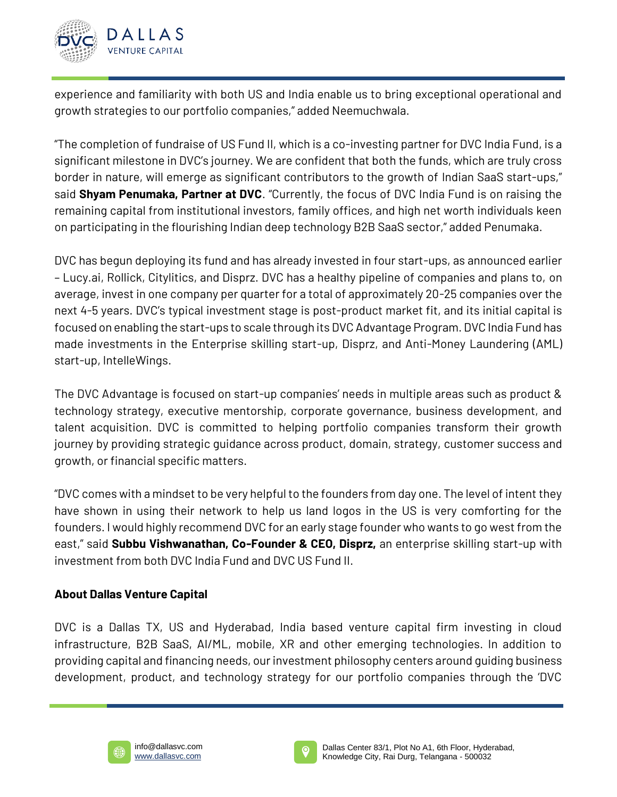

experience and familiarity with both US and India enable us to bring exceptional operational and growth strategies to our portfolio companies," added Neemuchwala.

"The completion of fundraise of US Fund II, which is a co-investing partner for DVC India Fund, is a significant milestone in DVC's journey. We are confident that both the funds, which are truly cross border in nature, will emerge as significant contributors to the growth of Indian SaaS start-ups," said **Shyam Penumaka, Partner at DVC**. "Currently, the focus of DVC India Fund is on raising the remaining capital from institutional investors, family offices, and high net worth individuals keen on participating in the flourishing Indian deep technology B2B SaaS sector," added Penumaka.

DVC has begun deploying its fund and has already invested in four start-ups, as announced earlier – Lucy.ai, Rollick, Citylitics, and Disprz. DVC has a healthy pipeline of companies and plans to, on average, invest in one company per quarter for a total of approximately 20-25 companies over the next 4-5 years. DVC's typical investment stage is post-product market fit, and its initial capital is focused on enabling the start-ups to scale through its DVC Advantage Program. DVC India Fund has made investments in the Enterprise skilling start-up, Disprz, and Anti-Money Laundering (AML) start-up, IntelleWings.

The DVC Advantage is focused on start-up companies' needs in multiple areas such as product & technology strategy, executive mentorship, corporate governance, business development, and talent acquisition. DVC is committed to helping portfolio companies transform their growth journey by providing strategic guidance across product, domain, strategy, customer success and growth, or financial specific matters.

"DVC comes with a mindset to be very helpful to the founders from day one. The level of intent they have shown in using their network to help us land logos in the US is very comforting for the founders. I would highly recommend DVC for an early stage founder who wants to go west from the east," said **Subbu Vishwanathan, Co-Founder & CEO, Disprz,** an enterprise skilling start-up with investment from both DVC India Fund and DVC US Fund II.

## **About Dallas Venture Capital**

DVC is a Dallas TX, US and Hyderabad, India based venture capital firm investing in cloud infrastructure, B2B SaaS, AI/ML, mobile, XR and other emerging technologies. In addition to providing capital and financing needs, our investment philosophy centers around guiding business development, product, and technology strategy for our portfolio companies through the 'DVC